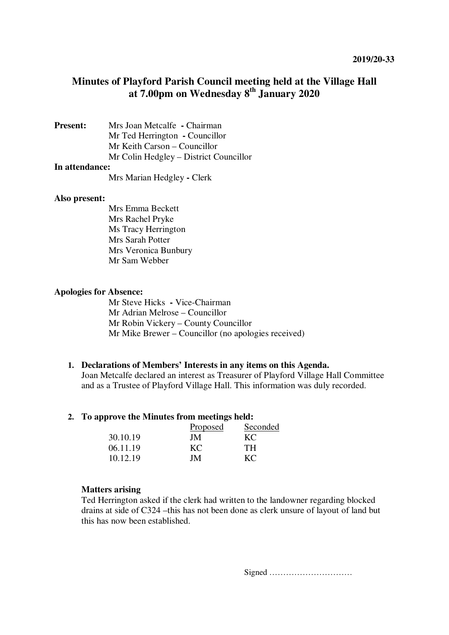# **Minutes of Playford Parish Council meeting held at the Village Hall at 7.00pm on Wednesday 8th January 2020**

**Present:** Mrs Joan Metcalfe **- Chairman** Mr Ted Herrington **-** Councillor Mr Keith Carson – Councillor Mr Colin Hedgley – District Councillor

#### **In attendance:**

Mrs Marian Hedgley **-** Clerk

#### **Also present:**

Mrs Emma Beckett Mrs Rachel Pryke Ms Tracy Herrington Mrs Sarah Potter Mrs Veronica Bunbury Mr Sam Webber

#### **Apologies for Absence:**

Mr Steve Hicks **-** Vice-Chairman Mr Adrian Melrose – Councillor Mr Robin Vickery – County Councillor Mr Mike Brewer – Councillor (no apologies received)

#### **1. Declarations of Members' Interests in any items on this Agenda.**

Joan Metcalfe declared an interest as Treasurer of Playford Village Hall Committee and as a Trustee of Playford Village Hall. This information was duly recorded.

### **2. To approve the Minutes from meetings held:**

|          | Proposed | Seconded  |
|----------|----------|-----------|
| 30.10.19 | JM       | KC        |
| 06.11.19 | KC       | TH.       |
| 10.12.19 | JM.      | $K\Gamma$ |

#### **Matters arising**

Ted Herrington asked if the clerk had written to the landowner regarding blocked drains at side of C324 –this has not been done as clerk unsure of layout of land but this has now been established.

Signed …………………………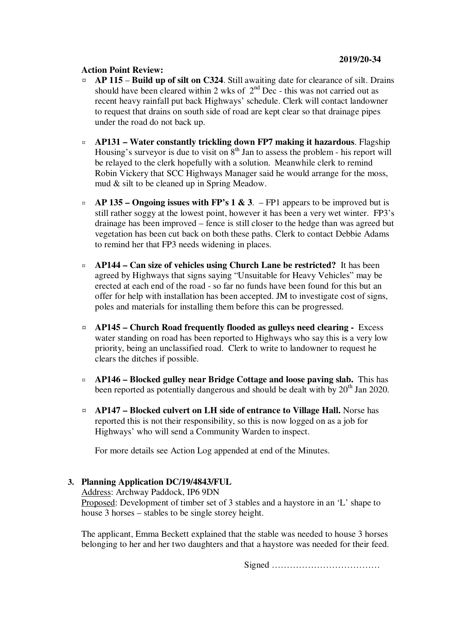### **Action Point Review:**

- ¤ **AP 115 Build up of silt on C324**. Still awaiting date for clearance of silt. Drains should have been cleared within 2 wks of  $2<sup>nd</sup>$  Dec - this was not carried out as recent heavy rainfall put back Highways' schedule. Clerk will contact landowner to request that drains on south side of road are kept clear so that drainage pipes under the road do not back up.
- ¤ **AP131 – Water constantly trickling down FP7 making it hazardous**. Flagship Housing's surveyor is due to visit on  $8<sup>th</sup>$  Jan to assess the problem - his report will be relayed to the clerk hopefully with a solution. Meanwhile clerk to remind Robin Vickery that SCC Highways Manager said he would arrange for the moss, mud & silt to be cleaned up in Spring Meadow.
- $\alpha$  **AP 135 Ongoing issues with FP's 1 & 3**. FP1 appears to be improved but is still rather soggy at the lowest point, however it has been a very wet winter. FP3's drainage has been improved – fence is still closer to the hedge than was agreed but vegetation has been cut back on both these paths. Clerk to contact Debbie Adams to remind her that FP3 needs widening in places.
- ¤ **AP144 Can size of vehicles using Church Lane be restricted?** It has been agreed by Highways that signs saying "Unsuitable for Heavy Vehicles" may be erected at each end of the road - so far no funds have been found for this but an offer for help with installation has been accepted. JM to investigate cost of signs, poles and materials for installing them before this can be progressed.
- ¤ **AP145 Church Road frequently flooded as gulleys need clearing** Excess water standing on road has been reported to Highways who say this is a very low priority, being an unclassified road. Clerk to write to landowner to request he clears the ditches if possible.
- ¤ **AP146 Blocked gulley near Bridge Cottage and loose paving slab.** This has been reported as potentially dangerous and should be dealt with by 20<sup>th</sup> Jan 2020.
- ¤ **AP147 Blocked culvert on LH side of entrance to Village Hall.** Norse has reported this is not their responsibility, so this is now logged on as a job for Highways' who will send a Community Warden to inspect.

For more details see Action Log appended at end of the Minutes.

# **3. Planning Application DC/19/4843/FUL**

Address: Archway Paddock, IP6 9DN

Proposed: Development of timber set of 3 stables and a haystore in an 'L' shape to house 3 horses – stables to be single storey height.

The applicant, Emma Beckett explained that the stable was needed to house 3 horses belonging to her and her two daughters and that a haystore was needed for their feed.

Signed ………………………………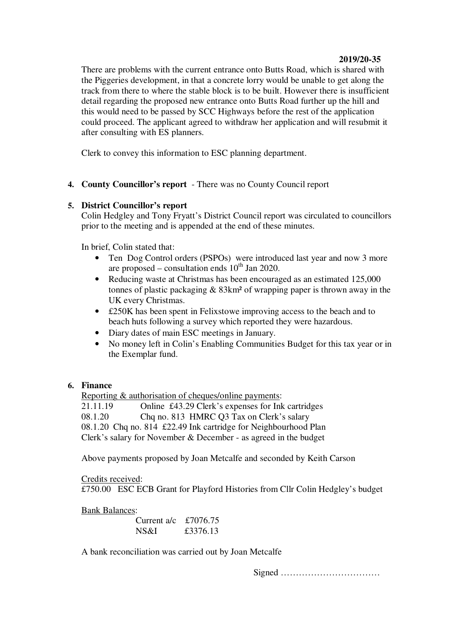# **2019/20-35**

There are problems with the current entrance onto Butts Road, which is shared with the Piggeries development, in that a concrete lorry would be unable to get along the track from there to where the stable block is to be built. However there is insufficient detail regarding the proposed new entrance onto Butts Road further up the hill and this would need to be passed by SCC Highways before the rest of the application could proceed. The applicant agreed to withdraw her application and will resubmit it after consulting with ES planners.

Clerk to convey this information to ESC planning department.

**4. County Councillor's report** - There was no County Council report

# **5. District Councillor's report**

Colin Hedgley and Tony Fryatt's District Council report was circulated to councillors prior to the meeting and is appended at the end of these minutes.

In brief, Colin stated that:

- Ten Dog Control orders (PSPOs) were introduced last year and now 3 more are proposed – consultation ends  $10^{th}$  Jan 2020.
- Reducing waste at Christmas has been encouraged as an estimated 125,000 tonnes of plastic packaging  $& 83 \text{km}^2$  of wrapping paper is thrown away in the UK every Christmas.
- £250K has been spent in Felixstowe improving access to the beach and to beach huts following a survey which reported they were hazardous.
- Diary dates of main ESC meetings in January.
- No money left in Colin's Enabling Communities Budget for this tax year or in the Exemplar fund.

### **6. Finance**

Reporting & authorisation of cheques/online payments:<br>21.11.19 Online £43.29 Clerk's expenses for Ink

Online £43.29 Clerk's expenses for Ink cartridges 08.1.20 Chq no. 813 HMRC Q3 Tax on Clerk's salary 08.1.20 Chq no. 814 £22.49 Ink cartridge for Neighbourhood Plan Clerk's salary for November & December - as agreed in the budget

Above payments proposed by Joan Metcalfe and seconded by Keith Carson

Credits received: £750.00 ESC ECB Grant for Playford Histories from Cllr Colin Hedgley's budget

Bank Balances:

| Current a/c $\text{\pounds}7076.75$ |          |
|-------------------------------------|----------|
| NS&I                                | £3376.13 |

A bank reconciliation was carried out by Joan Metcalfe

Signed ……………………………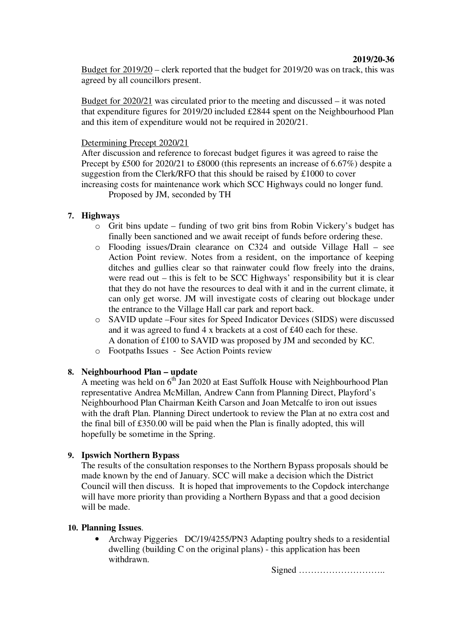Budget for 2019/20 – clerk reported that the budget for 2019/20 was on track, this was agreed by all councillors present.

Budget for 2020/21 was circulated prior to the meeting and discussed – it was noted that expenditure figures for 2019/20 included £2844 spent on the Neighbourhood Plan and this item of expenditure would not be required in 2020/21.

### Determining Precept 2020/21

After discussion and reference to forecast budget figures it was agreed to raise the Precept by £500 for 2020/21 to £8000 (this represents an increase of 6.67%) despite a suggestion from the Clerk/RFO that this should be raised by £1000 to cover increasing costs for maintenance work which SCC Highways could no longer fund.

Proposed by JM, seconded by TH

### **7. Highways**

- $\circ$  Grit bins update funding of two grit bins from Robin Vickery's budget has finally been sanctioned and we await receipt of funds before ordering these.
- o Flooding issues/Drain clearance on C324 and outside Village Hall see Action Point review. Notes from a resident, on the importance of keeping ditches and gullies clear so that rainwater could flow freely into the drains, were read out – this is felt to be SCC Highways' responsibility but it is clear that they do not have the resources to deal with it and in the current climate, it can only get worse. JM will investigate costs of clearing out blockage under the entrance to the Village Hall car park and report back.
- o SAVID update –Four sites for Speed Indicator Devices (SIDS) were discussed and it was agreed to fund 4 x brackets at a cost of £40 each for these. A donation of £100 to SAVID was proposed by JM and seconded by KC.
- o Footpaths Issues See Action Points review

# **8. Neighbourhood Plan – update**

A meeting was held on  $6^{th}$  Jan 2020 at East Suffolk House with Neighbourhood Plan representative Andrea McMillan, Andrew Cann from Planning Direct, Playford's Neighbourhood Plan Chairman Keith Carson and Joan Metcalfe to iron out issues with the draft Plan. Planning Direct undertook to review the Plan at no extra cost and the final bill of £350.00 will be paid when the Plan is finally adopted, this will hopefully be sometime in the Spring.

### **9. Ipswich Northern Bypass**

The results of the consultation responses to the Northern Bypass proposals should be made known by the end of January. SCC will make a decision which the District Council will then discuss. It is hoped that improvements to the Copdock interchange will have more priority than providing a Northern Bypass and that a good decision will be made.

#### **10. Planning Issues**.

• Archway Piggeries DC/19/4255/PN3 Adapting poultry sheds to a residential dwelling (building C on the original plans) - this application has been withdrawn.

Signed ………………………..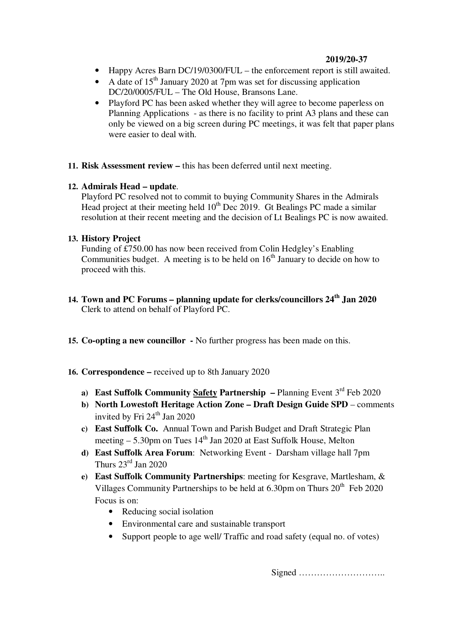# **2019/20-37**

- Happy Acres Barn DC/19/0300/FUL the enforcement report is still awaited.
- A date of  $15<sup>th</sup>$  January 2020 at 7pm was set for discussing application DC/20/0005/FUL – The Old House, Bransons Lane.
- Playford PC has been asked whether they will agree to become paperless on Planning Applications - as there is no facility to print A3 plans and these can only be viewed on a big screen during PC meetings, it was felt that paper plans were easier to deal with.
- **11. Risk Assessment review** this has been deferred until next meeting.

# **12. Admirals Head – update**.

Playford PC resolved not to commit to buying Community Shares in the Admirals Head project at their meeting held  $10^{th}$  Dec 2019. Gt Bealings PC made a similar resolution at their recent meeting and the decision of Lt Bealings PC is now awaited.

# **13. History Project**

Funding of £750.00 has now been received from Colin Hedgley's Enabling Communities budget. A meeting is to be held on  $16<sup>th</sup>$  January to decide on how to proceed with this.

- **14. Town and PC Forums planning update for clerks/councillors 24th Jan 2020** Clerk to attend on behalf of Playford PC.
- **15. Co-opting a new councillor** No further progress has been made on this.
- **16. Correspondence –** received up to 8th January 2020
	- **a) East Suffolk Community Safety Partnership** Planning Event  $3^{rd}$  Feb 2020
	- **b) North Lowestoft Heritage Action Zone Draft Design Guide SPD** comments invited by Fri  $24<sup>th</sup>$  Jan 2020
	- **c) East Suffolk Co.** Annual Town and Parish Budget and Draft Strategic Plan meeting  $-5.30$ pm on Tues  $14<sup>th</sup>$  Jan 2020 at East Suffolk House, Melton
	- **d) East Suffolk Area Forum**: Networking Event Darsham village hall 7pm Thurs  $23<sup>rd</sup>$  Jan 2020
	- **e) East Suffolk Community Partnerships**: meeting for Kesgrave, Martlesham, & Villages Community Partnerships to be held at  $6.30 \text{pm}$  on Thurs  $20^{\text{th}}$  Feb 2020 Focus is on:
		- Reducing social isolation
		- Environmental care and sustainable transport
		- Support people to age well/ Traffic and road safety (equal no. of votes)

Signed ………………………..